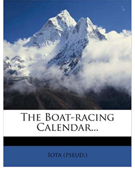

## THE BOAT-RACING CALENDAR...

**IOTA (PSEUD.)**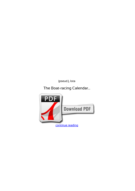*(pseud.), Iota*

**The Boat-racing Calendar...**

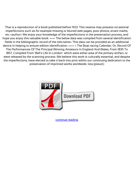That is a reproduction of a book published before 1923. This reserve may possess occasional imperfections such as for example missing or blurred web pages, poor photos, errant marks, etc.<author> We enjoy your knowledge of the imperfections in the preservation process, and hope you enjoy this valuable book. ++++ The below data was compiled from several identification fields in the bibliographic record of the title.name> This data can be provided as an additional device in helping to ensure edition identification: ++++ < The Boat-racing Calendar; Or, Record Of The Performances Of The Principal Winning Amateurs In England And Wales, From 1835 To 1857, Compiled From 'Bell's Life In London'. which were either area of the primary artifact, or were released by the scanning process. We believe this work is culturally essential, and despite the imperfections, have elected to take it back into print within our continuing dedication to the preservation of imprinted works worldwide. Iota (pseud.)



[continue reading](http://bit.ly/2Tge8Fv)